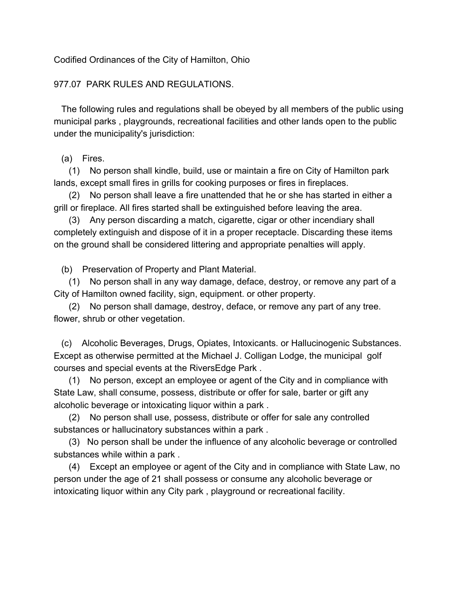Codified Ordinances of the City of Hamilton, Ohio

## 977.07 PARK RULES AND REGULATIONS.

 The following rules and regulations shall be obeyed by all members of the public using municipal parks , playgrounds, recreational facilities and other lands open to the public under the municipality's jurisdiction:

## (a) Fires.

 (1) No person shall kindle, build, use or maintain a fire on City of Hamilton park lands, except small fires in grills for cooking purposes or fires in fireplaces.

 (2) No person shall leave a fire unattended that he or she has started in either a grill or fireplace. All fires started shall be extinguished before leaving the area.

 (3) Any person discarding a match, cigarette, cigar or other incendiary shall completely extinguish and dispose of it in a proper receptacle. Discarding these items on the ground shall be considered littering and appropriate penalties will apply.

(b) Preservation of Property and Plant Material.

 (1) No person shall in any way damage, deface, destroy, or remove any part of a City of Hamilton owned facility, sign, equipment. or other property.

 (2) No person shall damage, destroy, deface, or remove any part of any tree. flower, shrub or other vegetation.

 (c) Alcoholic Beverages, Drugs, Opiates, Intoxicants. or Hallucinogenic Substances. Except as otherwise permitted at the Michael J. Colligan Lodge, the municipal golf courses and special events at the RiversEdge Park .

 (1) No person, except an employee or agent of the City and in compliance with State Law, shall consume, possess, distribute or offer for sale, barter or gift any alcoholic beverage or intoxicating liquor within a park .

 (2) No person shall use, possess, distribute or offer for sale any controlled substances or hallucinatory substances within a park .

 (3) No person shall be under the influence of any alcoholic beverage or controlled substances while within a park .

 (4) Except an employee or agent of the City and in compliance with State Law, no person under the age of 21 shall possess or consume any alcoholic beverage or intoxicating liquor within any City park , playground or recreational facility.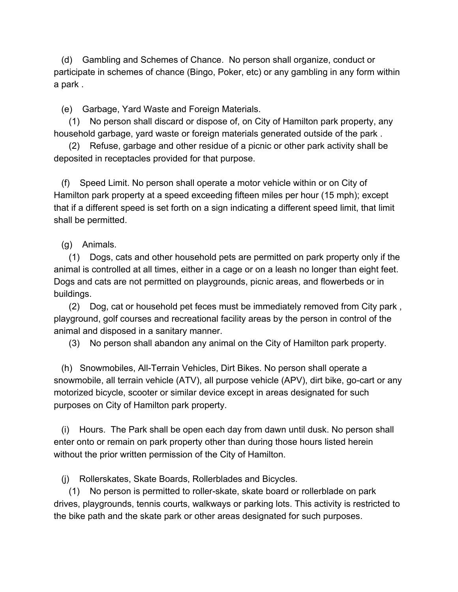(d) Gambling and Schemes of Chance. No person shall organize, conduct or participate in schemes of chance (Bingo, Poker, etc) or any gambling in any form within a park .

(e) Garbage, Yard Waste and Foreign Materials.

 (1) No person shall discard or dispose of, on City of Hamilton park property, any household garbage, yard waste or foreign materials generated outside of the park .

 (2) Refuse, garbage and other residue of a picnic or other park activity shall be deposited in receptacles provided for that purpose.

 (f) Speed Limit. No person shall operate a motor vehicle within or on City of Hamilton park property at a speed exceeding fifteen miles per hour (15 mph); except that if a different speed is set forth on a sign indicating a different speed limit, that limit shall be permitted.

## (g) Animals.

 (1) Dogs, cats and other household pets are permitted on park property only if the animal is controlled at all times, either in a cage or on a leash no longer than eight feet. Dogs and cats are not permitted on playgrounds, picnic areas, and flowerbeds or in buildings.

 (2) Dog, cat or household pet feces must be immediately removed from City park , playground, golf courses and recreational facility areas by the person in control of the animal and disposed in a sanitary manner.

(3) No person shall abandon any animal on the City of Hamilton park property.

 (h) Snowmobiles, All-Terrain Vehicles, Dirt Bikes. No person shall operate a snowmobile, all terrain vehicle (ATV), all purpose vehicle (APV), dirt bike, go-cart or any motorized bicycle, scooter or similar device except in areas designated for such purposes on City of Hamilton park property.

 (i) Hours. The Park shall be open each day from dawn until dusk. No person shall enter onto or remain on park property other than during those hours listed herein without the prior written permission of the City of Hamilton.

(j) Rollerskates, Skate Boards, Rollerblades and Bicycles.

 (1) No person is permitted to roller-skate, skate board or rollerblade on park drives, playgrounds, tennis courts, walkways or parking lots. This activity is restricted to the bike path and the skate park or other areas designated for such purposes.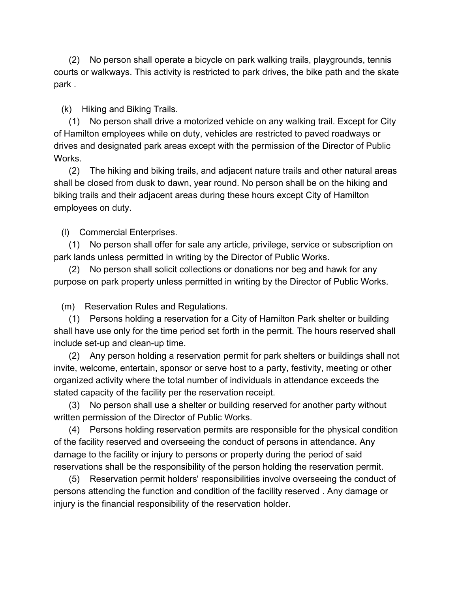(2) No person shall operate a bicycle on park walking trails, playgrounds, tennis courts or walkways. This activity is restricted to park drives, the bike path and the skate park .

(k) Hiking and Biking Trails.

 (1) No person shall drive a motorized vehicle on any walking trail. Except for City of Hamilton employees while on duty, vehicles are restricted to paved roadways or drives and designated park areas except with the permission of the Director of Public Works.

 (2) The hiking and biking trails, and adjacent nature trails and other natural areas shall be closed from dusk to dawn, year round. No person shall be on the hiking and biking trails and their adjacent areas during these hours except City of Hamilton employees on duty.

(l) Commercial Enterprises.

 (1) No person shall offer for sale any article, privilege, service or subscription on park lands unless permitted in writing by the Director of Public Works.

 (2) No person shall solicit collections or donations nor beg and hawk for any purpose on park property unless permitted in writing by the Director of Public Works.

(m) Reservation Rules and Regulations.

 (1) Persons holding a reservation for a City of Hamilton Park shelter or building shall have use only for the time period set forth in the permit. The hours reserved shall include set-up and clean-up time.

 (2) Any person holding a reservation permit for park shelters or buildings shall not invite, welcome, entertain, sponsor or serve host to a party, festivity, meeting or other organized activity where the total number of individuals in attendance exceeds the stated capacity of the facility per the reservation receipt.

 (3) No person shall use a shelter or building reserved for another party without written permission of the Director of Public Works.

 (4) Persons holding reservation permits are responsible for the physical condition of the facility reserved and overseeing the conduct of persons in attendance. Any damage to the facility or injury to persons or property during the period of said reservations shall be the responsibility of the person holding the reservation permit.

 (5) Reservation permit holders' responsibilities involve overseeing the conduct of persons attending the function and condition of the facility reserved . Any damage or injury is the financial responsibility of the reservation holder.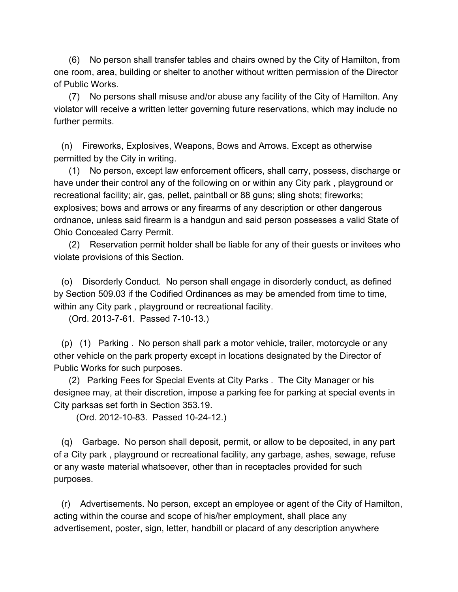(6) No person shall transfer tables and chairs owned by the City of Hamilton, from one room, area, building or shelter to another without written permission of the Director of Public Works.

 (7) No persons shall misuse and/or abuse any facility of the City of Hamilton. Any violator will receive a written letter governing future reservations, which may include no further permits.

 (n) Fireworks, Explosives, Weapons, Bows and Arrows. Except as otherwise permitted by the City in writing.

 (1) No person, except law enforcement officers, shall carry, possess, discharge or have under their control any of the following on or within any City park , playground or recreational facility; air, gas, pellet, paintball or 88 guns; sling shots; fireworks; explosives; bows and arrows or any firearms of any description or other dangerous ordnance, unless said firearm is a handgun and said person possesses a valid State of Ohio Concealed Carry Permit.

 (2) Reservation permit holder shall be liable for any of their guests or invitees who violate provisions of this Section.

 (o) Disorderly Conduct. No person shall engage in disorderly conduct, as defined by Section 509.03 if the Codified Ordinances as may be amended from time to time, within any City park , playground or recreational facility.

(Ord. 2013-7-61. Passed 7-10-13.)

 (p) (1) Parking . No person shall park a motor vehicle, trailer, motorcycle or any other vehicle on the park property except in locations designated by the Director of Public Works for such purposes.

 (2) Parking Fees for Special Events at City Parks . The City Manager or his designee may, at their discretion, impose a parking fee for parking at special events in City parksas set forth in Section 353.19.

(Ord. 2012-10-83. Passed 10-24-12.)

 (q) Garbage. No person shall deposit, permit, or allow to be deposited, in any part of a City park , playground or recreational facility, any garbage, ashes, sewage, refuse or any waste material whatsoever, other than in receptacles provided for such purposes.

 (r) Advertisements. No person, except an employee or agent of the City of Hamilton, acting within the course and scope of his/her employment, shall place any advertisement, poster, sign, letter, handbill or placard of any description anywhere